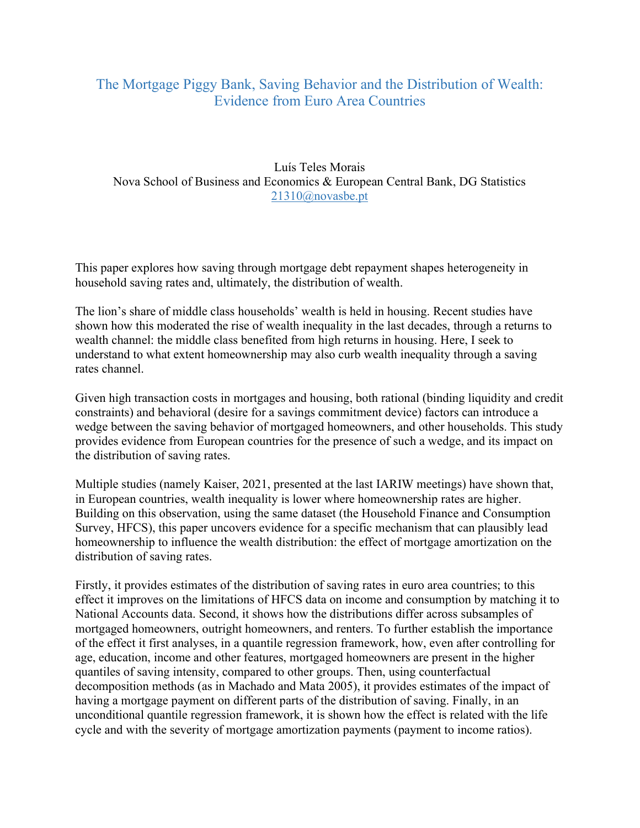## The Mortgage Piggy Bank, Saving Behavior and the Distribution of Wealth: Evidence from Euro Area Countries

Luís Teles Morais Nova School of Business and Economics & European Central Bank, DG Statistics 21310@novasbe.pt

This paper explores how saving through mortgage debt repayment shapes heterogeneity in household saving rates and, ultimately, the distribution of wealth.

The lion's share of middle class households' wealth is held in housing. Recent studies have shown how this moderated the rise of wealth inequality in the last decades, through a returns to wealth channel: the middle class benefited from high returns in housing. Here, I seek to understand to what extent homeownership may also curb wealth inequality through a saving rates channel.

Given high transaction costs in mortgages and housing, both rational (binding liquidity and credit constraints) and behavioral (desire for a savings commitment device) factors can introduce a wedge between the saving behavior of mortgaged homeowners, and other households. This study provides evidence from European countries for the presence of such a wedge, and its impact on the distribution of saving rates.

Multiple studies (namely Kaiser, 2021, presented at the last IARIW meetings) have shown that, in European countries, wealth inequality is lower where homeownership rates are higher. Building on this observation, using the same dataset (the Household Finance and Consumption Survey, HFCS), this paper uncovers evidence for a specific mechanism that can plausibly lead homeownership to influence the wealth distribution: the effect of mortgage amortization on the distribution of saving rates.

Firstly, it provides estimates of the distribution of saving rates in euro area countries; to this effect it improves on the limitations of HFCS data on income and consumption by matching it to National Accounts data. Second, it shows how the distributions differ across subsamples of mortgaged homeowners, outright homeowners, and renters. To further establish the importance of the effect it first analyses, in a quantile regression framework, how, even after controlling for age, education, income and other features, mortgaged homeowners are present in the higher quantiles of saving intensity, compared to other groups. Then, using counterfactual decomposition methods (as in Machado and Mata 2005), it provides estimates of the impact of having a mortgage payment on different parts of the distribution of saving. Finally, in an unconditional quantile regression framework, it is shown how the effect is related with the life cycle and with the severity of mortgage amortization payments (payment to income ratios).